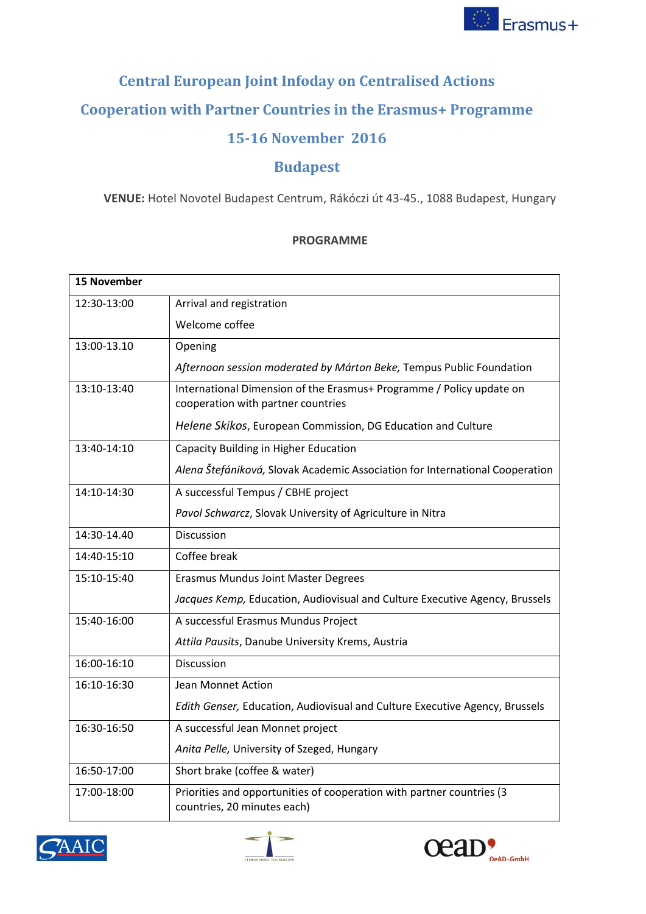

## **Central European Joint Infoday on Centralised Actions Cooperation with Partner Countries in the Erasmus+ Programme 15-16 November 2016**

## **Budapest**

**VENUE:** Hotel Novotel Budapest Centrum, Rákóczi út 43-45., 1088 Budapest, Hungary

## **PROGRAMME**

| <b>15 November</b> |                                                                                                            |
|--------------------|------------------------------------------------------------------------------------------------------------|
| 12:30-13:00        | Arrival and registration                                                                                   |
|                    | Welcome coffee                                                                                             |
| 13:00-13.10        | Opening                                                                                                    |
|                    | Afternoon session moderated by Márton Beke, Tempus Public Foundation                                       |
| 13:10-13:40        | International Dimension of the Erasmus+ Programme / Policy update on<br>cooperation with partner countries |
|                    | Helene Skikos, European Commission, DG Education and Culture                                               |
| 13:40-14:10        | Capacity Building in Higher Education                                                                      |
|                    | Alena Štefániková, Slovak Academic Association for International Cooperation                               |
| 14:10-14:30        | A successful Tempus / CBHE project                                                                         |
|                    | Pavol Schwarcz, Slovak University of Agriculture in Nitra                                                  |
| 14:30-14.40        | <b>Discussion</b>                                                                                          |
| 14:40-15:10        | Coffee break                                                                                               |
| 15:10-15:40        | Erasmus Mundus Joint Master Degrees                                                                        |
|                    | Jacques Kemp, Education, Audiovisual and Culture Executive Agency, Brussels                                |
| 15:40-16:00        | A successful Erasmus Mundus Project                                                                        |
|                    | Attila Pausits, Danube University Krems, Austria                                                           |
| 16:00-16:10        | Discussion                                                                                                 |
| 16:10-16:30        | Jean Monnet Action                                                                                         |
|                    | Edith Genser, Education, Audiovisual and Culture Executive Agency, Brussels                                |
| 16:30-16:50        | A successful Jean Monnet project                                                                           |
|                    | Anita Pelle, University of Szeged, Hungary                                                                 |
| 16:50-17:00        | Short brake (coffee & water)                                                                               |
| 17:00-18:00        | Priorities and opportunities of cooperation with partner countries (3<br>countries, 20 minutes each)       |